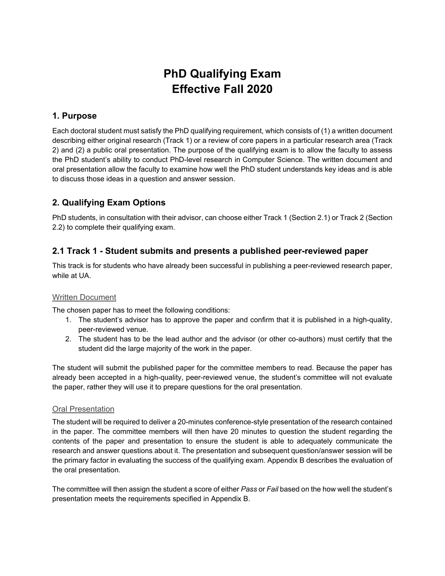# **PhD Qualifying Exam Effective Fall 2020**

## **1. Purpose**

Each doctoral student must satisfy the PhD qualifying requirement, which consists of (1) a written document describing either original research (Track 1) or a review of core papers in a particular research area (Track 2) and (2) a public oral presentation. The purpose of the qualifying exam is to allow the faculty to assess the PhD student's ability to conduct PhD-level research in Computer Science. The written document and oral presentation allow the faculty to examine how well the PhD student understands key ideas and is able to discuss those ideas in a question and answer session.

# **2. Qualifying Exam Options**

PhD students, in consultation with their advisor, can choose either Track 1 (Section 2.1) or Track 2 (Section 2.2) to complete their qualifying exam.

## **2.1 Track 1 - Student submits and presents a published peer-reviewed paper**

This track is for students who have already been successful in publishing a peer-reviewed research paper, while at UA.

## Written Document

The chosen paper has to meet the following conditions:

- 1. The student's advisor has to approve the paper and confirm that it is published in a high-quality, peer-reviewed venue.
- 2. The student has to be the lead author and the advisor (or other co-authors) must certify that the student did the large majority of the work in the paper.

The student will submit the published paper for the committee members to read. Because the paper has already been accepted in a high-quality, peer-reviewed venue, the student's committee will not evaluate the paper, rather they will use it to prepare questions for the oral presentation.

### Oral Presentation

The student will be required to deliver a 20-minutes conference-style presentation of the research contained in the paper. The committee members will then have 20 minutes to question the student regarding the contents of the paper and presentation to ensure the student is able to adequately communicate the research and answer questions about it. The presentation and subsequent question/answer session will be the primary factor in evaluating the success of the qualifying exam. Appendix B describes the evaluation of the oral presentation.

The committee will then assign the student a score of either *Pass* or *Fail* based on the how well the student's presentation meets the requirements specified in Appendix B.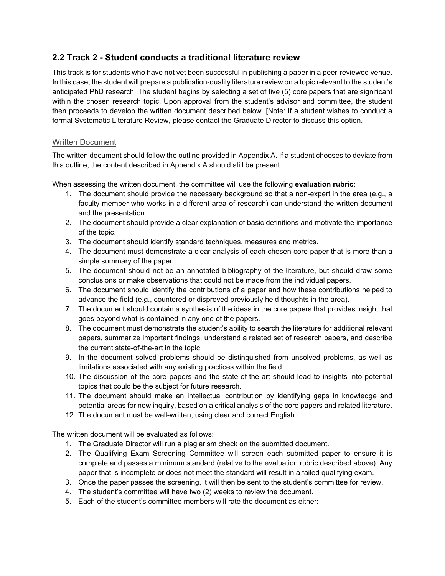## **2.2 Track 2 - Student conducts a traditional literature review**

This track is for students who have not yet been successful in publishing a paper in a peer-reviewed venue. In this case, the student will prepare a publication-quality literature review on a topic relevant to the student's anticipated PhD research. The student begins by selecting a set of five (5) core papers that are significant within the chosen research topic. Upon approval from the student's advisor and committee, the student then proceeds to develop the written document described below. [Note: If a student wishes to conduct a formal Systematic Literature Review, please contact the Graduate Director to discuss this option.]

## Written Document

The written document should follow the outline provided in Appendix A. If a student chooses to deviate from this outline, the content described in Appendix A should still be present.

When assessing the written document, the committee will use the following **evaluation rubric**:

- 1. The document should provide the necessary background so that a non-expert in the area (e.g., a faculty member who works in a different area of research) can understand the written document and the presentation.
- 2. The document should provide a clear explanation of basic definitions and motivate the importance of the topic.
- 3. The document should identify standard techniques, measures and metrics.
- 4. The document must demonstrate a clear analysis of each chosen core paper that is more than a simple summary of the paper.
- 5. The document should not be an annotated bibliography of the literature, but should draw some conclusions or make observations that could not be made from the individual papers.
- 6. The document should identify the contributions of a paper and how these contributions helped to advance the field (e.g., countered or disproved previously held thoughts in the area).
- 7. The document should contain a synthesis of the ideas in the core papers that provides insight that goes beyond what is contained in any one of the papers.
- 8. The document must demonstrate the student's ability to search the literature for additional relevant papers, summarize important findings, understand a related set of research papers, and describe the current state-of-the-art in the topic.
- 9. In the document solved problems should be distinguished from unsolved problems, as well as limitations associated with any existing practices within the field.
- 10. The discussion of the core papers and the state-of-the-art should lead to insights into potential topics that could be the subject for future research.
- 11. The document should make an intellectual contribution by identifying gaps in knowledge and potential areas for new inquiry, based on a critical analysis of the core papers and related literature.
- 12. The document must be well-written, using clear and correct English.

The written document will be evaluated as follows:

- 1. The Graduate Director will run a plagiarism check on the submitted document.
- 2. The Qualifying Exam Screening Committee will screen each submitted paper to ensure it is complete and passes a minimum standard (relative to the evaluation rubric described above). Any paper that is incomplete or does not meet the standard will result in a failed qualifying exam.
- 3. Once the paper passes the screening, it will then be sent to the student's committee for review.
- 4. The student's committee will have two (2) weeks to review the document.
- 5. Each of the student's committee members will rate the document as either: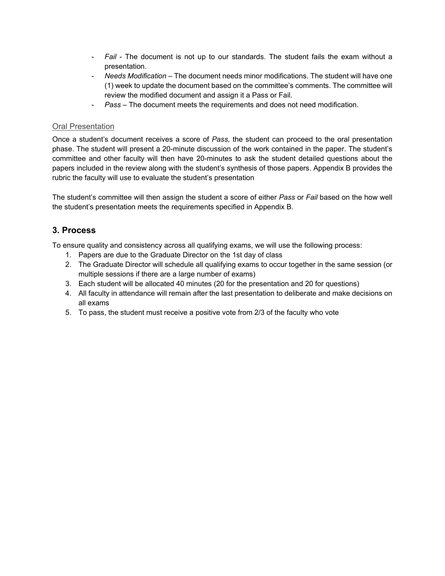- *Fail* The document is not up to our standards. The student fails the exam without a presentation.
- *Needs Modification* The document needs minor modifications. The student will have one (1) week to update the document based on the committee's comments. The committee will review the modified document and assign it a Pass or Fail.
- *Pass* The document meets the requirements and does not need modification.

## **Oral Presentation**

Once a student's document receives a score of *Pass,* the student can proceed to the oral presentation phase. The student will present a 20-minute discussion of the work contained in the paper. The student's committee and other faculty will then have 20-minutes to ask the student detailed questions about the papers included in the review along with the student's synthesis of those papers. Appendix B provides the rubric the faculty will use to evaluate the student's presentation

The student's committee will then assign the student a score of either *Pass* or *Fail* based on the how well the student's presentation meets the requirements specified in Appendix B.

## **3. Process**

To ensure quality and consistency across all qualifying exams, we will use the following process:

- 1. Papers are due to the Graduate Director on the 1st day of class
- 2. The Graduate Director will schedule all qualifying exams to occur together in the same session (or multiple sessions if there are a large number of exams)
- 3. Each student will be allocated 40 minutes (20 for the presentation and 20 for questions)
- 4. All faculty in attendance will remain after the last presentation to deliberate and make decisions on all exams
- 5. To pass, the student must receive a positive vote from 2/3 of the faculty who vote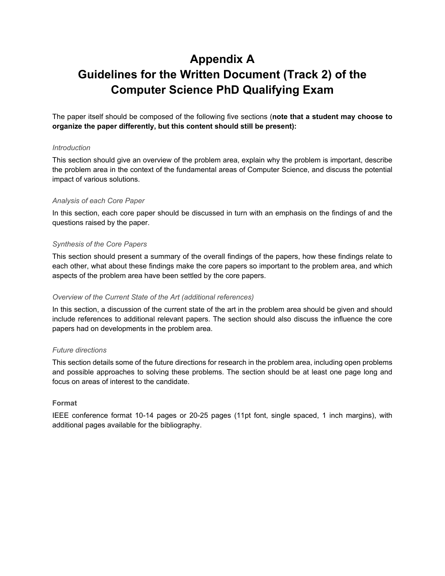# **Appendix A Guidelines for the Written Document (Track 2) of the Computer Science PhD Qualifying Exam**

The paper itself should be composed of the following five sections (**note that a student may choose to organize the paper differently, but this content should still be present):**

#### *Introduction*

This section should give an overview of the problem area, explain why the problem is important, describe the problem area in the context of the fundamental areas of Computer Science, and discuss the potential impact of various solutions.

### *Analysis of each Core Paper*

In this section, each core paper should be discussed in turn with an emphasis on the findings of and the questions raised by the paper.

### *Synthesis of the Core Papers*

This section should present a summary of the overall findings of the papers, how these findings relate to each other, what about these findings make the core papers so important to the problem area, and which aspects of the problem area have been settled by the core papers.

#### *Overview of the Current State of the Art (additional references)*

In this section, a discussion of the current state of the art in the problem area should be given and should include references to additional relevant papers. The section should also discuss the influence the core papers had on developments in the problem area.

#### *Future directions*

This section details some of the future directions for research in the problem area, including open problems and possible approaches to solving these problems. The section should be at least one page long and focus on areas of interest to the candidate.

#### **Format**

IEEE conference format 10-14 pages or 20-25 pages (11pt font, single spaced, 1 inch margins), with additional pages available for the bibliography.